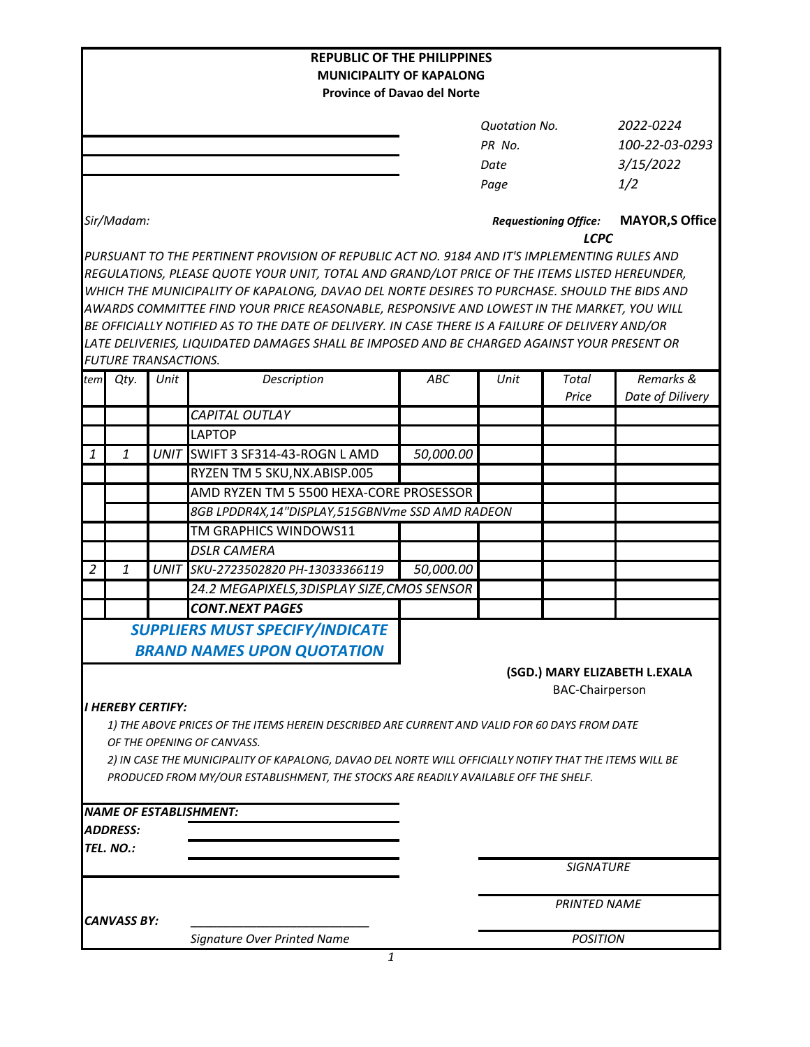|                                 |                             |      | <b>REPUBLIC OF THE PHILIPPINES</b>                                                                                                                                                             |                                    |                              |                                       |                               |  |  |  |
|---------------------------------|-----------------------------|------|------------------------------------------------------------------------------------------------------------------------------------------------------------------------------------------------|------------------------------------|------------------------------|---------------------------------------|-------------------------------|--|--|--|
| <b>MUNICIPALITY OF KAPALONG</b> |                             |      |                                                                                                                                                                                                |                                    |                              |                                       |                               |  |  |  |
|                                 |                             |      |                                                                                                                                                                                                | <b>Province of Davao del Norte</b> |                              |                                       |                               |  |  |  |
|                                 |                             |      |                                                                                                                                                                                                |                                    | <b>Quotation No.</b>         |                                       | 2022-0224                     |  |  |  |
|                                 |                             |      |                                                                                                                                                                                                |                                    | PR No.                       |                                       | 100-22-03-0293                |  |  |  |
|                                 |                             |      |                                                                                                                                                                                                |                                    | Date                         |                                       | 3/15/2022                     |  |  |  |
|                                 |                             |      |                                                                                                                                                                                                |                                    | Page                         |                                       | 1/2                           |  |  |  |
|                                 |                             |      |                                                                                                                                                                                                |                                    |                              |                                       |                               |  |  |  |
|                                 | Sir/Madam:                  |      |                                                                                                                                                                                                |                                    | <b>Requestioning Office:</b> | <b>MAYOR, S Office</b><br><b>LCPC</b> |                               |  |  |  |
|                                 |                             |      | PURSUANT TO THE PERTINENT PROVISION OF REPUBLIC ACT NO. 9184 AND IT'S IMPLEMENTING RULES AND                                                                                                   |                                    |                              |                                       |                               |  |  |  |
|                                 |                             |      | REGULATIONS, PLEASE QUOTE YOUR UNIT, TOTAL AND GRAND/LOT PRICE OF THE ITEMS LISTED HEREUNDER,                                                                                                  |                                    |                              |                                       |                               |  |  |  |
|                                 |                             |      | WHICH THE MUNICIPALITY OF KAPALONG, DAVAO DEL NORTE DESIRES TO PURCHASE. SHOULD THE BIDS AND                                                                                                   |                                    |                              |                                       |                               |  |  |  |
|                                 |                             |      | AWARDS COMMITTEE FIND YOUR PRICE REASONABLE, RESPONSIVE AND LOWEST IN THE MARKET, YOU WILL<br>BE OFFICIALLY NOTIFIED AS TO THE DATE OF DELIVERY. IN CASE THERE IS A FAILURE OF DELIVERY AND/OR |                                    |                              |                                       |                               |  |  |  |
|                                 |                             |      | LATE DELIVERIES, LIQUIDATED DAMAGES SHALL BE IMPOSED AND BE CHARGED AGAINST YOUR PRESENT OR                                                                                                    |                                    |                              |                                       |                               |  |  |  |
|                                 | <b>FUTURE TRANSACTIONS.</b> |      |                                                                                                                                                                                                |                                    |                              |                                       |                               |  |  |  |
| tem                             | Qty.                        | Unit | Description                                                                                                                                                                                    | <b>ABC</b>                         | Unit                         | Total                                 | Remarks &                     |  |  |  |
|                                 |                             |      |                                                                                                                                                                                                |                                    |                              | Price                                 | Date of Dilivery              |  |  |  |
|                                 |                             |      | CAPITAL OUTLAY                                                                                                                                                                                 |                                    |                              |                                       |                               |  |  |  |
|                                 |                             |      | <b>LAPTOP</b>                                                                                                                                                                                  |                                    |                              |                                       |                               |  |  |  |
| 1                               | $\mathbf{1}$                |      | UNIT SWIFT 3 SF314-43-ROGN LAMD                                                                                                                                                                | 50,000.00                          |                              |                                       |                               |  |  |  |
|                                 |                             |      | RYZEN TM 5 SKU, NX. ABISP.005                                                                                                                                                                  |                                    |                              |                                       |                               |  |  |  |
|                                 |                             |      | AMD RYZEN TM 5 5500 HEXA-CORE PROSESSOR                                                                                                                                                        |                                    |                              |                                       |                               |  |  |  |
|                                 |                             |      | 8GB LPDDR4X,14"DISPLAY,515GBNVme SSD AMD RADEON                                                                                                                                                |                                    |                              |                                       |                               |  |  |  |
|                                 |                             |      | TM GRAPHICS WINDOWS11                                                                                                                                                                          |                                    |                              |                                       |                               |  |  |  |
|                                 |                             |      | <b>DSLR CAMERA</b>                                                                                                                                                                             |                                    |                              |                                       |                               |  |  |  |
| $\overline{2}$                  | 1                           | UNIT | SKU-2723502820 PH-13033366119                                                                                                                                                                  | 50,000.00                          |                              |                                       |                               |  |  |  |
|                                 |                             |      | 24.2 MEGAPIXELS, 3DISPLAY SIZE, CMOS SENSOR                                                                                                                                                    |                                    |                              |                                       |                               |  |  |  |
|                                 |                             |      | <b>CONT.NEXT PAGES</b>                                                                                                                                                                         |                                    |                              |                                       |                               |  |  |  |
|                                 |                             |      | <b>SUPPLIERS MUST SPECIFY/INDICATE</b>                                                                                                                                                         |                                    |                              |                                       |                               |  |  |  |
|                                 |                             |      | <b>BRAND NAMES UPON QUOTATION</b>                                                                                                                                                              |                                    |                              |                                       |                               |  |  |  |
|                                 |                             |      |                                                                                                                                                                                                |                                    |                              |                                       | (SGD.) MARY ELIZABETH L.EXALA |  |  |  |
|                                 |                             |      |                                                                                                                                                                                                |                                    |                              | <b>BAC-Chairperson</b>                |                               |  |  |  |
|                                 | <b>I HEREBY CERTIFY:</b>    |      |                                                                                                                                                                                                |                                    |                              |                                       |                               |  |  |  |
|                                 |                             |      | 1) THE ABOVE PRICES OF THE ITEMS HEREIN DESCRIBED ARE CURRENT AND VALID FOR 60 DAYS FROM DATE                                                                                                  |                                    |                              |                                       |                               |  |  |  |
|                                 |                             |      | OF THE OPENING OF CANVASS.<br>2) IN CASE THE MUNICIPALITY OF KAPALONG, DAVAO DEL NORTE WILL OFFICIALLY NOTIFY THAT THE ITEMS WILL BE                                                           |                                    |                              |                                       |                               |  |  |  |
|                                 |                             |      | PRODUCED FROM MY/OUR ESTABLISHMENT, THE STOCKS ARE READILY AVAILABLE OFF THE SHELF.                                                                                                            |                                    |                              |                                       |                               |  |  |  |
|                                 |                             |      |                                                                                                                                                                                                |                                    |                              |                                       |                               |  |  |  |
|                                 |                             |      | <b>NAME OF ESTABLISHMENT:</b>                                                                                                                                                                  |                                    |                              |                                       |                               |  |  |  |
|                                 | <b>ADDRESS:</b>             |      |                                                                                                                                                                                                |                                    |                              |                                       |                               |  |  |  |
|                                 | TEL. NO.:                   |      |                                                                                                                                                                                                |                                    |                              |                                       |                               |  |  |  |
|                                 |                             |      |                                                                                                                                                                                                |                                    |                              | <b>SIGNATURE</b>                      |                               |  |  |  |
|                                 |                             |      |                                                                                                                                                                                                |                                    |                              |                                       |                               |  |  |  |
|                                 |                             |      |                                                                                                                                                                                                |                                    | <b>PRINTED NAME</b>          |                                       |                               |  |  |  |
|                                 | <b>CANVASS BY:</b>          |      |                                                                                                                                                                                                |                                    |                              |                                       |                               |  |  |  |
|                                 |                             |      | Signature Over Printed Name                                                                                                                                                                    |                                    |                              | <b>POSITION</b>                       |                               |  |  |  |

*1*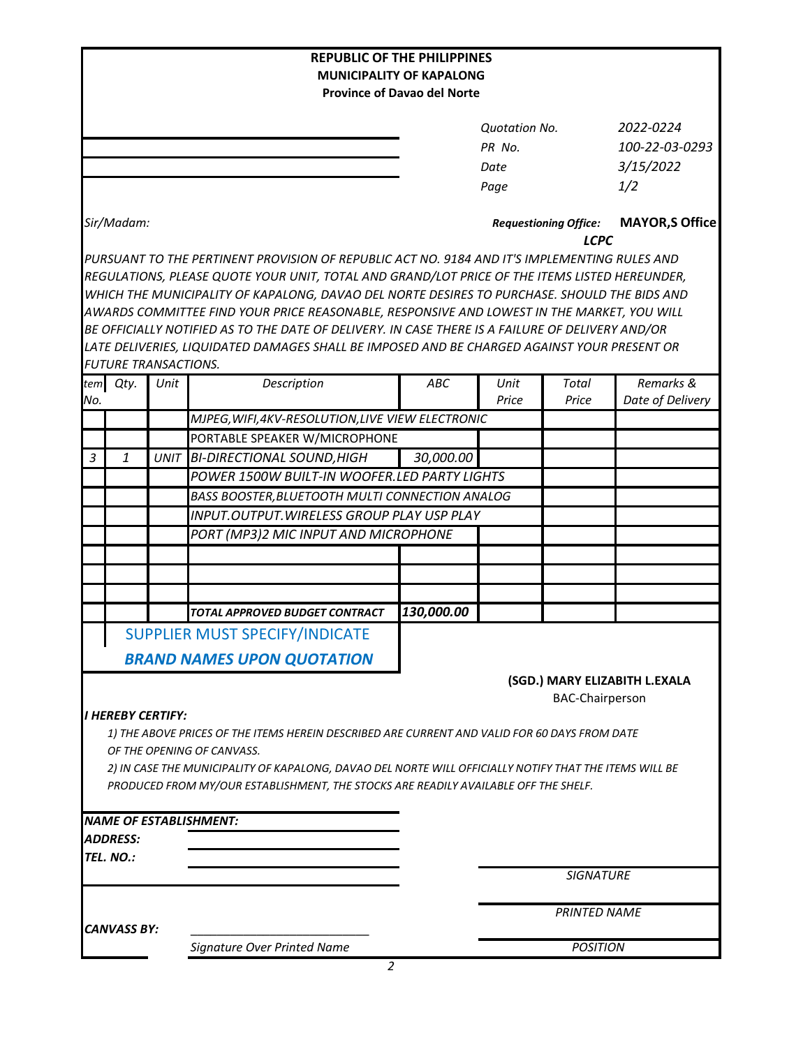| <b>REPUBLIC OF THE PHILIPPINES</b>                                    |                                 |      |                                                                                                        |            |                              |                                       |                               |  |  |  |
|-----------------------------------------------------------------------|---------------------------------|------|--------------------------------------------------------------------------------------------------------|------------|------------------------------|---------------------------------------|-------------------------------|--|--|--|
| <b>MUNICIPALITY OF KAPALONG</b><br><b>Province of Davao del Norte</b> |                                 |      |                                                                                                        |            |                              |                                       |                               |  |  |  |
|                                                                       |                                 |      |                                                                                                        |            |                              |                                       |                               |  |  |  |
|                                                                       |                                 |      |                                                                                                        |            | <b>Ouotation No.</b>         |                                       | 2022-0224                     |  |  |  |
|                                                                       |                                 |      |                                                                                                        |            | PR No.                       |                                       | 100-22-03-0293                |  |  |  |
|                                                                       |                                 |      |                                                                                                        |            | Date                         |                                       | 3/15/2022                     |  |  |  |
|                                                                       |                                 |      |                                                                                                        |            | Page                         |                                       | 1/2                           |  |  |  |
|                                                                       | Sir/Madam:                      |      |                                                                                                        |            | <b>Requestioning Office:</b> | <b>MAYOR, S Office</b><br><b>LCPC</b> |                               |  |  |  |
|                                                                       |                                 |      | PURSUANT TO THE PERTINENT PROVISION OF REPUBLIC ACT NO. 9184 AND IT'S IMPLEMENTING RULES AND           |            |                              |                                       |                               |  |  |  |
|                                                                       |                                 |      | REGULATIONS, PLEASE QUOTE YOUR UNIT, TOTAL AND GRAND/LOT PRICE OF THE ITEMS LISTED HEREUNDER,          |            |                              |                                       |                               |  |  |  |
|                                                                       |                                 |      | WHICH THE MUNICIPALITY OF KAPALONG, DAVAO DEL NORTE DESIRES TO PURCHASE. SHOULD THE BIDS AND           |            |                              |                                       |                               |  |  |  |
|                                                                       |                                 |      | AWARDS COMMITTEE FIND YOUR PRICE REASONABLE, RESPONSIVE AND LOWEST IN THE MARKET, YOU WILL             |            |                              |                                       |                               |  |  |  |
|                                                                       |                                 |      | BE OFFICIALLY NOTIFIED AS TO THE DATE OF DELIVERY. IN CASE THERE IS A FAILURE OF DELIVERY AND/OR       |            |                              |                                       |                               |  |  |  |
|                                                                       |                                 |      | LATE DELIVERIES, LIQUIDATED DAMAGES SHALL BE IMPOSED AND BE CHARGED AGAINST YOUR PRESENT OR            |            |                              |                                       |                               |  |  |  |
|                                                                       | <b>FUTURE TRANSACTIONS.</b>     |      |                                                                                                        |            |                              |                                       |                               |  |  |  |
| No.                                                                   | tem Qty.                        | Unit | Description                                                                                            | ABC        | Unit<br>Price                | <b>Total</b><br>Price                 | Remarks &<br>Date of Delivery |  |  |  |
|                                                                       |                                 |      | MJPEG, WIFI, 4KV-RESOLUTION, LIVE VIEW ELECTRONIC                                                      |            |                              |                                       |                               |  |  |  |
|                                                                       |                                 |      | PORTABLE SPEAKER W/MICROPHONE                                                                          |            |                              |                                       |                               |  |  |  |
| 3                                                                     | 1                               |      | UNIT BI-DIRECTIONAL SOUND, HIGH                                                                        | 30,000.00  |                              |                                       |                               |  |  |  |
|                                                                       |                                 |      | POWER 1500W BUILT-IN WOOFER.LED PARTY LIGHTS                                                           |            |                              |                                       |                               |  |  |  |
|                                                                       |                                 |      | BASS BOOSTER, BLUETOOTH MULTI CONNECTION ANALOG                                                        |            |                              |                                       |                               |  |  |  |
|                                                                       |                                 |      | INPUT.OUTPUT.WIRELESS GROUP PLAY USP PLAY                                                              |            |                              |                                       |                               |  |  |  |
|                                                                       |                                 |      | PORT (MP3)2 MIC INPUT AND MICROPHONE                                                                   |            |                              |                                       |                               |  |  |  |
|                                                                       |                                 |      |                                                                                                        |            |                              |                                       |                               |  |  |  |
|                                                                       |                                 |      |                                                                                                        |            |                              |                                       |                               |  |  |  |
|                                                                       |                                 |      |                                                                                                        |            |                              |                                       |                               |  |  |  |
|                                                                       |                                 |      | TOTAL APPROVED BUDGET CONTRACT                                                                         | 130,000.00 |                              |                                       |                               |  |  |  |
|                                                                       |                                 |      | <b>SUPPLIER MUST SPECIFY/INDICATE</b>                                                                  |            |                              |                                       |                               |  |  |  |
|                                                                       |                                 |      |                                                                                                        |            |                              |                                       |                               |  |  |  |
|                                                                       |                                 |      | <b>BRAND NAMES UPON QUOTATION</b>                                                                      |            |                              |                                       |                               |  |  |  |
|                                                                       |                                 |      |                                                                                                        |            |                              |                                       | (SGD.) MARY ELIZABITH L.EXALA |  |  |  |
|                                                                       |                                 |      |                                                                                                        |            |                              | <b>BAC-Chairperson</b>                |                               |  |  |  |
|                                                                       | <i><b>I HEREBY CERTIFY:</b></i> |      | 1) THE ABOVE PRICES OF THE ITEMS HEREIN DESCRIBED ARE CURRENT AND VALID FOR 60 DAYS FROM DATE          |            |                              |                                       |                               |  |  |  |
|                                                                       |                                 |      | OF THE OPENING OF CANVASS.                                                                             |            |                              |                                       |                               |  |  |  |
|                                                                       |                                 |      | 2) IN CASE THE MUNICIPALITY OF KAPALONG, DAVAO DEL NORTE WILL OFFICIALLY NOTIFY THAT THE ITEMS WILL BE |            |                              |                                       |                               |  |  |  |
|                                                                       |                                 |      | PRODUCED FROM MY/OUR ESTABLISHMENT, THE STOCKS ARE READILY AVAILABLE OFF THE SHELF.                    |            |                              |                                       |                               |  |  |  |
|                                                                       |                                 |      |                                                                                                        |            |                              |                                       |                               |  |  |  |
|                                                                       |                                 |      | <b>NAME OF ESTABLISHMENT:</b>                                                                          |            |                              |                                       |                               |  |  |  |
|                                                                       | <i><b>ADDRESS:</b></i>          |      |                                                                                                        |            |                              |                                       |                               |  |  |  |
|                                                                       | TEL. NO.:                       |      |                                                                                                        |            |                              |                                       |                               |  |  |  |
|                                                                       |                                 |      |                                                                                                        |            |                              | <b>SIGNATURE</b>                      |                               |  |  |  |
|                                                                       |                                 |      |                                                                                                        |            |                              |                                       |                               |  |  |  |
| <b>CANVASS BY:</b>                                                    |                                 |      |                                                                                                        |            | <b>PRINTED NAME</b>          |                                       |                               |  |  |  |
|                                                                       |                                 |      | Signature Over Printed Name                                                                            |            |                              |                                       |                               |  |  |  |
|                                                                       |                                 |      |                                                                                                        |            | <b>POSITION</b>              |                                       |                               |  |  |  |

*2*